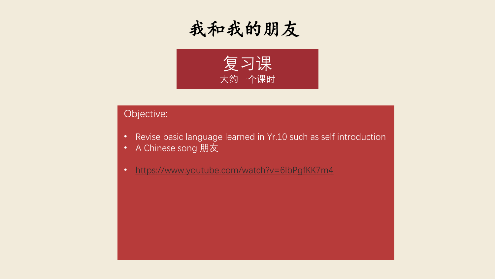



## Objective:

- Revise basic language learned in Yr.10 such as self introduction
- A Chinese song 朋友
- <https://www.youtube.com/watch?v=6lbPgfKK7m4>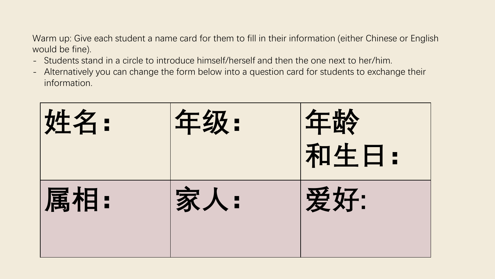Warm up: Give each student a name card for them to fill in their information (either Chinese or English would be fine).

- Students stand in a circle to introduce himself/herself and then the one next to her/him.
- Alternatively you can change the form below into a question card for students to exchange their information.

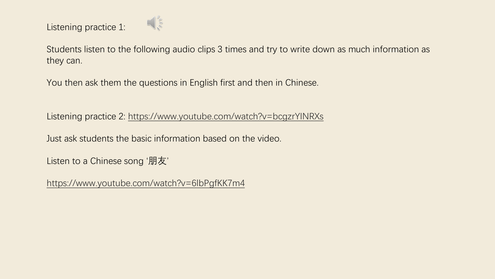Listening practice 1:



Students listen to the following audio clips 3 times and try to write down as much information as they can.

You then ask them the questions in English first and then in Chinese.

Listening practice 2:<https://www.youtube.com/watch?v=bcgzrYINRXs>

Just ask students the basic information based on the video.

Listen to a Chinese song '朋友'

<https://www.youtube.com/watch?v=6lbPgfKK7m4>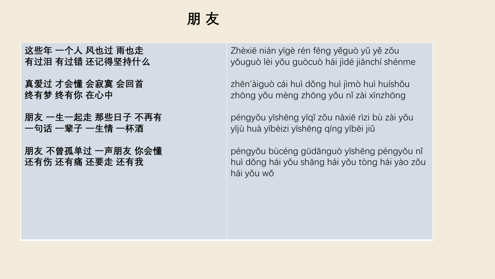## **朋 友**

**这些年 一个人 风也过 雨也走 有过泪 有过错 还记得坚持什么**

**真爱过 才会懂 会寂寞 会回首 终有梦 终有你 在心中**

**朋友 一生一起走 那些日子 不再有 一句话 一辈子 一生情 一杯酒**

**朋友 不曾孤单过 一声朋友 你会懂 还有伤 还有痛 还要走 还有我**

Zhèxiē nián yīgè rén fēng yěguò yǔ yě zǒu yǒuguò lèi yǒu guòcuò hái jìdé jiānchí shénme

zhēn'àiguò cái huì dǒng huì jìmò huì huíshǒu zhōng yǒu mèng zhōng yǒu nǐ zài xīnzhōng

péngyǒu yīshēng yīqǐ zǒu nàxiē rìzi bù zài yǒu yījù huà yībèizi yīshēng qíng yībēi jiǔ

péngyǒu bùcéng gūdānguò yīshēng péngyǒu nǐ huì dǒng hái yǒu shāng hái yǒu tòng hái yào zǒu hái yǒu wǒ